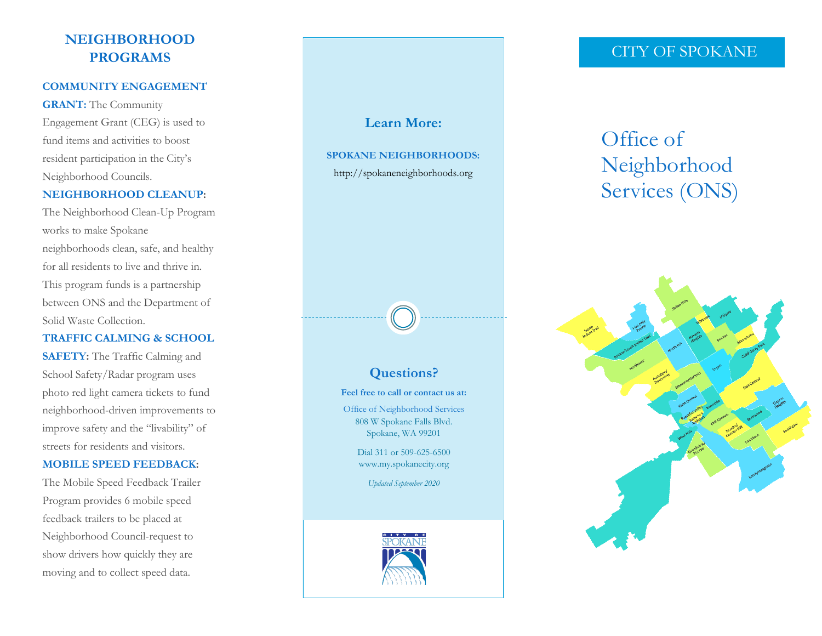# **NEIGHBORHOOD PROGRAMS**

### **COMMUNITY ENGAGEMENT**

**GRANT:** The Community Engagement Grant (CEG) is used to fund items and activities to boost resident participation in the City's Neighborhood Councils.

## **NEIGHBORHOOD CLEANUP:**

The Neighborhood Clean-Up Program works to make Spokane neighborhoods clean, safe, and healthy for all residents to live and thrive in. This program funds is a partnership between ONS and the Department of Solid Waste Collection.

## **TRAFFIC CALMING & SCHOOL**

**SAFETY:** The Traffic Calming and School Safety/Radar program uses photo red light camera tickets to fund neighborhood-driven improvements to improve safety and the "livability" of streets for residents and visitors.

### **MOBILE SPEED FEEDBACK:**

The Mobile Speed Feedback Trailer Program provides 6 mobile speed feedback trailers to be placed at Neighborhood Council-request to show drivers how quickly they are moving and to collect speed data.

# **Learn More: SPOKANE NEIGHBORHOODS:** http://spokaneneighborhoods.org

# **Questions?**

**Feel free to call or contact us at:**  Office of Neighborhood Services

808 W Spokane Falls Blvd. Spokane, WA 99201

Dial 311 or 509-625-6500 www.my.spokanecity.org

*Updated September 2020*



# CITY OF SPOKANE

# Office of Neighborhood Services (ONS)